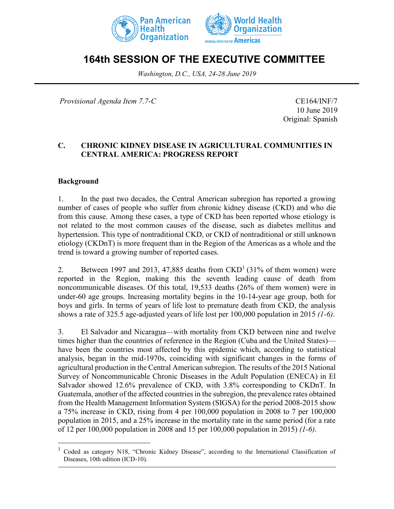



# **164th SESSION OF THE EXECUTIVE COMMITTEE**

*Washington, D.C., USA, 24-28 June 2019*

*Provisional Agenda Item 7.7-C* CE164/INF/7

10 June 2019 Original: Spanish

## **C. CHRONIC KIDNEY DISEASE IN AGRICULTURAL COMMUNITIES IN CENTRAL AMERICA: PROGRESS REPORT**

#### **Background**

 $\overline{a}$ 

1. In the past two decades, the Central American subregion has reported a growing number of cases of people who suffer from chronic kidney disease (CKD) and who die from this cause. Among these cases, a type of CKD has been reported whose etiology is not related to the most common causes of the disease, such as diabetes mellitus and hypertension. This type of nontraditional CKD, or CKD of nontraditional or still unknown etiology (CKDnT) is more frequent than in the Region of the Americas as a whole and the trend is toward a growing number of reported cases.

2. Between 1997 and 2013, 47,885 deaths from  $\text{CKD}^1$  (31% of them women) were reported in the Region, making this the seventh leading cause of death from noncommunicable diseases. Of this total, 19,533 deaths (26% of them women) were in under-60 age groups. Increasing mortality begins in the 10-14-year age group, both for boys and girls. In terms of years of life lost to premature death from CKD, the analysis shows a rate of 325.5 age-adjusted years of life lost per 100,000 population in 2015 *(1-6)*.

3. El Salvador and Nicaragua––with mortality from CKD between nine and twelve times higher than the countries of reference in the Region (Cuba and the United States) have been the countries most affected by this epidemic which, according to statistical analysis, began in the mid-1970s, coinciding with significant changes in the forms of agricultural production in the Central American subregion. The results of the 2015 National Survey of Noncommunicable Chronic Diseases in the Adult Population (ENECA) in El Salvador showed 12.6% prevalence of CKD, with 3.8% corresponding to CKDnT. In Guatemala, another of the affected countries in the subregion, the prevalence rates obtained from the Health Management Information System (SIGSA) for the period 2008-2015 show a 75% increase in CKD, rising from 4 per 100,000 population in 2008 to 7 per 100,000 population in 2015, and a 25% increase in the mortality rate in the same period (for a rate of 12 per 100,000 population in 2008 and 15 per 100,000 population in 2015) *(1-6)*.

<sup>1</sup> Coded as category N18, "Chronic Kidney Disease", according to the International Classification of Diseases, 10th edition (ICD-10).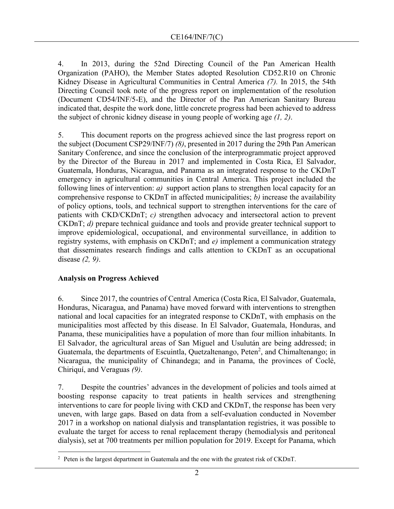4. In 2013, during the 52nd Directing Council of the Pan American Health Organization (PAHO), the Member States adopted Resolution CD52.R10 on Chronic Kidney Disease in Agricultural Communities in Central America *(7).* In 2015, the 54th Directing Council took note of the progress report on implementation of the resolution (Document CD54/INF/5-E), and the Director of the Pan American Sanitary Bureau indicated that, despite the work done, little concrete progress had been achieved to address the subject of chronic kidney disease in young people of working age *(1, 2)*.

5. This document reports on the progress achieved since the last progress report on the subject (Document CSP29/INF/7) *(8)*, presented in 2017 during the 29th Pan American Sanitary Conference, and since the conclusion of the interprogrammatic project approved by the Director of the Bureau in 2017 and implemented in Costa Rica, El Salvador, Guatemala, Honduras, Nicaragua, and Panama as an integrated response to the CKDnT emergency in agricultural communities in Central America. This project included the following lines of intervention: *a)* support action plans to strengthen local capacity for an comprehensive response to CKDnT in affected municipalities; *b)* increase the availability of policy options, tools, and technical support to strengthen interventions for the care of patients with CKD/CKDnT; *c)* strengthen advocacy and intersectoral action to prevent CKDnT; *d)* prepare technical guidance and tools and provide greater technical support to improve epidemiological, occupational, and environmental surveillance, in addition to registry systems, with emphasis on CKDnT; and *e)* implement a communication strategy that disseminates research findings and calls attention to CKDnT as an occupational disease *(2, 9)*.

### **Analysis on Progress Achieved**

6. Since 2017, the countries of Central America (Costa Rica, El Salvador, Guatemala, Honduras, Nicaragua, and Panama) have moved forward with interventions to strengthen national and local capacities for an integrated response to CKDnT, with emphasis on the municipalities most affected by this disease. In El Salvador, Guatemala, Honduras, and Panama, these municipalities have a population of more than four million inhabitants. In El Salvador, the agricultural areas of San Miguel and Usulután are being addressed; in Guatemala, the departments of Escuintla, Quetzaltenango, Peten<sup>2</sup>, and Chimaltenango; in Nicaragua, the municipality of Chinandega; and in Panama, the provinces of Coclé, Chiriquí, and Veraguas *(9)*.

7. Despite the countries' advances in the development of policies and tools aimed at boosting response capacity to treat patients in health services and strengthening interventions to care for people living with CKD and CKDnT, the response has been very uneven, with large gaps. Based on data from a self-evaluation conducted in November 2017 in a workshop on national dialysis and transplantation registries, it was possible to evaluate the target for access to renal replacement therapy (hemodialysis and peritoneal dialysis), set at 700 treatments per million population for 2019. Except for Panama, which

 $\overline{a}$ <sup>2</sup> Peten is the largest department in Guatemala and the one with the greatest risk of CKDnT.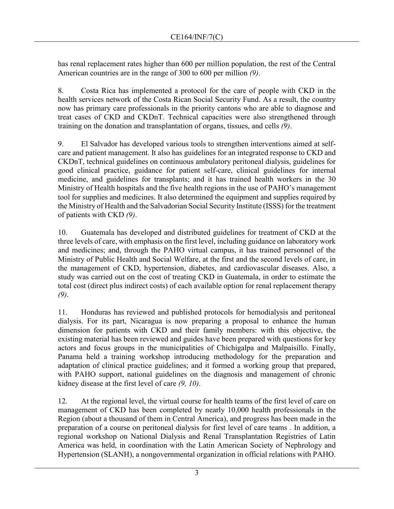has renal replacement rates higher than 600 per million population, the rest of the Central American countries are in the range of 300 to 600 per million *(9)*.

8. Costa Rica has implemented a protocol for the care of people with CKD in the health services network of the Costa Rican Social Security Fund. As a result, the country now has primary care professionals in the priority cantons who are able to diagnose and treat cases of CKD and CKDnT. Technical capacities were also strengthened through training on the donation and transplantation of organs, tissues, and cells *(9)*.

9. El Salvador has developed various tools to strengthen interventions aimed at selfcare and patient management. It also has guidelines for an integrated response to CKD and CKDnT, technical guidelines on continuous ambulatory peritoneal dialysis, guidelines for good clinical practice, guidance for patient self-care, clinical guidelines for internal medicine, and guidelines for transplants; and it has trained health workers in the 30 Ministry of Health hospitals and the five health regions in the use of PAHO's management tool for supplies and medicines. It also determined the equipment and supplies required by the Ministry of Health and the Salvadorian Social Security Institute (ISSS) for the treatment of patients with CKD *(9)*.

10. Guatemala has developed and distributed guidelines for treatment of CKD at the three levels of care, with emphasis on the first level, including guidance on laboratory work and medicines; and, through the PAHO virtual campus, it has trained personnel of the Ministry of Public Health and Social Welfare, at the first and the second levels of care, in the management of CKD, hypertension, diabetes, and cardiovascular diseases. Also, a study was carried out on the cost of treating CKD in Guatemala, in order to estimate the total cost (direct plus indirect costs) of each available option for renal replacement therapy *(9)*.

11. Honduras has reviewed and published protocols for hemodialysis and peritoneal dialysis. For its part, Nicaragua is now preparing a proposal to enhance the human dimension for patients with CKD and their family members: with this objective, the existing material has been reviewed and guides have been prepared with questions for key actors and focus groups in the municipalities of Chichigalpa and Malpaisillo. Finally, Panama held a training workshop introducing methodology for the preparation and adaptation of clinical practice guidelines; and it formed a working group that prepared, with PAHO support, national guidelines on the diagnosis and management of chronic kidney disease at the first level of care *(9, 10)*.

12. At the regional level, the virtual course for health teams of the first level of care on management of CKD has been completed by nearly 10,000 health professionals in the Region (about a thousand of them in Central America), and progress has been made in the preparation of a course on peritoneal dialysis for first level of care teams . In addition, a regional workshop on National Dialysis and Renal Transplantation Registries of Latin America was held, in coordination with the Latin American Society of Nephrology and Hypertension (SLANH), a nongovernmental organization in official relations with PAHO.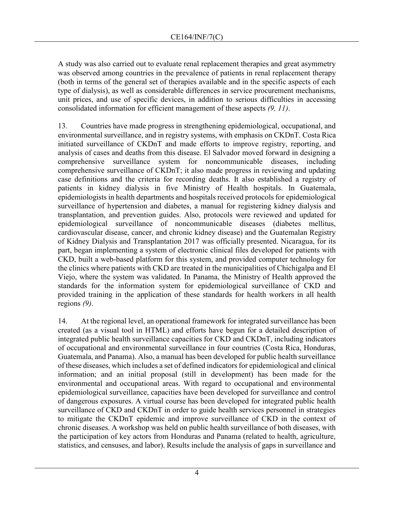A study was also carried out to evaluate renal replacement therapies and great asymmetry was observed among countries in the prevalence of patients in renal replacement therapy (both in terms of the general set of therapies available and in the specific aspects of each type of dialysis), as well as considerable differences in service procurement mechanisms, unit prices, and use of specific devices, in addition to serious difficulties in accessing consolidated information for efficient management of these aspects *(9, 11)*.

13. Countries have made progress in strengthening epidemiological, occupational, and environmental surveillance, and in registry systems, with emphasis on CKDnT. Costa Rica initiated surveillance of CKDnT and made efforts to improve registry, reporting, and analysis of cases and deaths from this disease. El Salvador moved forward in designing a comprehensive surveillance system for noncommunicable diseases, including comprehensive surveillance of CKDnT; it also made progress in reviewing and updating case definitions and the criteria for recording deaths. It also established a registry of patients in kidney dialysis in five Ministry of Health hospitals. In Guatemala, epidemiologists in health departments and hospitals received protocols for epidemiological surveillance of hypertension and diabetes, a manual for registering kidney dialysis and transplantation, and prevention guides. Also, protocols were reviewed and updated for epidemiological surveillance of noncommunicable diseases (diabetes mellitus, cardiovascular disease, cancer, and chronic kidney disease) and the Guatemalan Registry of Kidney Dialysis and Transplantation 2017 was officially presented. Nicaragua, for its part, began implementing a system of electronic clinical files developed for patients with CKD, built a web-based platform for this system, and provided computer technology for the clinics where patients with CKD are treated in the municipalities of Chichigalpa and El Viejo, where the system was validated. In Panama, the Ministry of Health approved the standards for the information system for epidemiological surveillance of CKD and provided training in the application of these standards for health workers in all health regions *(9)*.

14. At the regional level, an operational framework for integrated surveillance has been created (as a visual tool in HTML) and efforts have begun for a detailed description of integrated public health surveillance capacities for CKD and CKDnT, including indicators of occupational and environmental surveillance in four countries (Costa Rica, Honduras, Guatemala, and Panama). Also, a manual has been developed for public health surveillance of these diseases, which includes a set of defined indicators for epidemiological and clinical information; and an initial proposal (still in development) has been made for the environmental and occupational areas. With regard to occupational and environmental epidemiological surveillance, capacities have been developed for surveillance and control of dangerous exposures. A virtual course has been developed for integrated public health surveillance of CKD and CKDnT in order to guide health services personnel in strategies to mitigate the CKDnT epidemic and improve surveillance of CKD in the context of chronic diseases. A workshop was held on public health surveillance of both diseases, with the participation of key actors from Honduras and Panama (related to health, agriculture, statistics, and censuses, and labor). Results include the analysis of gaps in surveillance and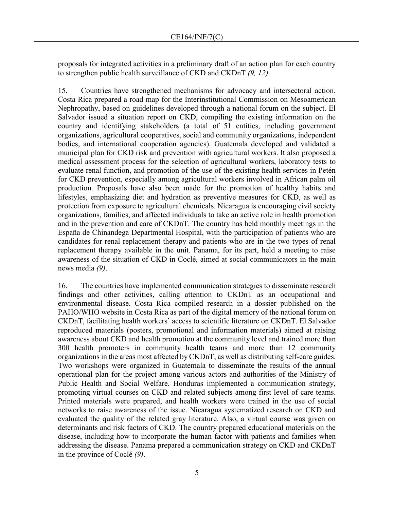proposals for integrated activities in a preliminary draft of an action plan for each country to strengthen public health surveillance of CKD and CKDnT *(9, 12)*.

15. Countries have strengthened mechanisms for advocacy and intersectoral action. Costa Rica prepared a road map for the Interinstitutional Commission on Mesoamerican Nephropathy, based on guidelines developed through a national forum on the subject. El Salvador issued a situation report on CKD, compiling the existing information on the country and identifying stakeholders (a total of 51 entities, including government organizations, agricultural cooperatives, social and community organizations, independent bodies, and international cooperation agencies). Guatemala developed and validated a municipal plan for CKD risk and prevention with agricultural workers. It also proposed a medical assessment process for the selection of agricultural workers, laboratory tests to evaluate renal function, and promotion of the use of the existing health services in Petén for CKD prevention, especially among agricultural workers involved in African palm oil production. Proposals have also been made for the promotion of healthy habits and lifestyles, emphasizing diet and hydration as preventive measures for CKD, as well as protection from exposure to agricultural chemicals. Nicaragua is encouraging civil society organizations, families, and affected individuals to take an active role in health promotion and in the prevention and care of CKDnT. The country has held monthly meetings in the España de Chinandega Departmental Hospital, with the participation of patients who are candidates for renal replacement therapy and patients who are in the two types of renal replacement therapy available in the unit. Panama, for its part, held a meeting to raise awareness of the situation of CKD in Coclé, aimed at social communicators in the main news media *(9)*.

16. The countries have implemented communication strategies to disseminate research findings and other activities, calling attention to CKDnT as an occupational and environmental disease. Costa Rica compiled research in a dossier published on the PAHO/WHO website in Costa Rica as part of the digital memory of the national forum on CKDnT, facilitating health workers' access to scientific literature on CKDnT. El Salvador reproduced materials (posters, promotional and information materials) aimed at raising awareness about CKD and health promotion at the community level and trained more than 300 health promoters in community health teams and more than 12 community organizations in the areas most affected by CKDnT, as well as distributing self-care guides. Two workshops were organized in Guatemala to disseminate the results of the annual operational plan for the project among various actors and authorities of the Ministry of Public Health and Social Welfare. Honduras implemented a communication strategy, promoting virtual courses on CKD and related subjects among first level of care teams. Printed materials were prepared, and health workers were trained in the use of social networks to raise awareness of the issue. Nicaragua systematized research on CKD and evaluated the quality of the related gray literature. Also, a virtual course was given on determinants and risk factors of CKD. The country prepared educational materials on the disease, including how to incorporate the human factor with patients and families when addressing the disease. Panama prepared a communication strategy on CKD and CKDnT in the province of Coclé *(9)*.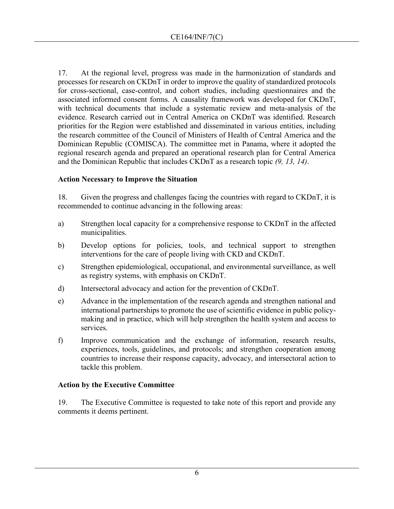17. At the regional level, progress was made in the harmonization of standards and processes for research on CKDnT in order to improve the quality of standardized protocols for cross-sectional, case-control, and cohort studies, including questionnaires and the associated informed consent forms. A causality framework was developed for CKDnT, with technical documents that include a systematic review and meta-analysis of the evidence. Research carried out in Central America on CKDnT was identified. Research priorities for the Region were established and disseminated in various entities, including the research committee of the Council of Ministers of Health of Central America and the Dominican Republic (COMISCA). The committee met in Panama, where it adopted the regional research agenda and prepared an operational research plan for Central America and the Dominican Republic that includes CKDnT as a research topic *(9, 13, 14)*.

#### **Action Necessary to Improve the Situation**

18. Given the progress and challenges facing the countries with regard to CKDnT, it is recommended to continue advancing in the following areas:

- a) Strengthen local capacity for a comprehensive response to CKDnT in the affected municipalities.
- b) Develop options for policies, tools, and technical support to strengthen interventions for the care of people living with CKD and CKDnT.
- c) Strengthen epidemiological, occupational, and environmental surveillance, as well as registry systems, with emphasis on CKDnT.
- d) Intersectoral advocacy and action for the prevention of CKDnT.
- e) Advance in the implementation of the research agenda and strengthen national and international partnerships to promote the use of scientific evidence in public policymaking and in practice, which will help strengthen the health system and access to services.
- f) Improve communication and the exchange of information, research results, experiences, tools, guidelines, and protocols; and strengthen cooperation among countries to increase their response capacity, advocacy, and intersectoral action to tackle this problem.

### **Action by the Executive Committee**

19. The Executive Committee is requested to take note of this report and provide any comments it deems pertinent.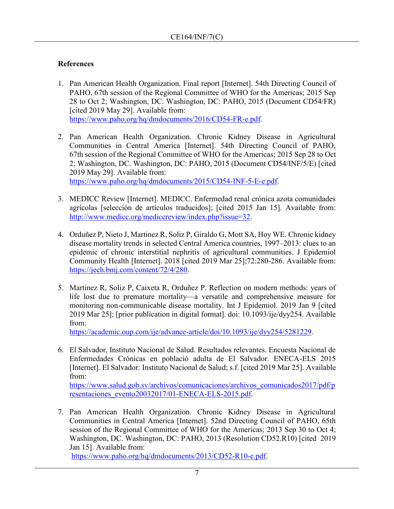# **References**

- 1. Pan American Health Organization. Final report [Internet]. 54th Directing Council of PAHO, 67th session of the Regional Committee of WHO for the Americas; 2015 Sep 28 to Oct 2; Washington, DC. Washington, DC: PAHO, 2015 (Document CD54/FR) [cited 2019 May 29]. Available from: [https://www.paho.org/hq/dmdocuments/2016/CD54-FR-e.pdf.](https://www.paho.org/hq/dmdocuments/2016/CD54-FR-e.pdf)
- 2. Pan American Health Organization. Chronic Kidney Disease in Agricultural Communities in Central America [Internet]. 54th Directing Council of PAHO, 67th session of the Regional Committee of WHO for the Americas; 2015 Sep 28 to Oct 2; Washington, DC. Washington, DC: PAHO, 2015 (Document CD54/INF/5/E) [cited 2019 May 29]. Available from: [https://www.paho.org/hq/dmdocuments/2015/CD54-INF-5-E-e.pdf.](https://www.paho.org/hq/dmdocuments/2015/CD54-INF-5-E-e.pdf)
- 3. MEDICC Review [Internet]. MEDICC. Enfermedad renal crónica azota comunidades agrícolas [selección de artículos traducidos]; [cited 2015 Jan 15]. Available from: [http://www.medicc.org/mediccreview/index.php?issue=32.](http://www.medicc.org/mediccreview/index.php?issue=32)
- 4. Orduñez P, Nieto J, Martinez R, Soliz P, Giraldo G, Mott SA, Hoy WE. Chronic kidney disease mortality trends in selected Central America countries, 1997–2013: clues to an epidemic of chronic interstitial nephritis of agricultural communities. J Epidemiol Community Health [Internet]. 2018 [cited 2019 Mar 25];72:280-286. Available from: [https://jech.bmj.com/content/72/4/280.](https://jech.bmj.com/content/72/4/280)
- 5. Martinez R, Soliz P, Caixeta R, Orduñez P. Reflection on modern methods: years of life lost due to premature mortality—a versatile and comprehensive measure for monitoring non-communicable disease mortality. Int J Epidemiol. 2019 Jan 9 [cited 2019 Mar 25]; [prior publication in digital format]. doi: 10.1093/ije/dyy254. Available from:

[https://academic.oup.com/ije/advance-article/doi/10.1093/ije/dyy254/5281229.](https://academic.oup.com/ije/advance-article/doi/10.1093/ije/dyy254/5281229)

6. El Salvador, Instituto Nacional de Salud. Resultados relevantes. Encuesta Nacional de Enfermedades Crónicas en població adulta de El Salvador. ENECA-ELS 2015 [Internet]. El Salvador: Instituto Nacional de Salud; s.f. [cited 2019 Mar 25]. Available from:

[https://www.salud.gob.sv/archivos/comunicaciones/archivos\\_comunicados2017/pdf/p](https://www.salud.gob.sv/archivos/comunicaciones/archivos_comunicados2017/pdf/presentaciones_evento20032017/01-ENECA-ELS-2015.pdf) [resentaciones\\_evento20032017/01-ENECA-ELS-2015.pdf.](https://www.salud.gob.sv/archivos/comunicaciones/archivos_comunicados2017/pdf/presentaciones_evento20032017/01-ENECA-ELS-2015.pdf)

7. Pan American Health Organization. Chronic Kidney Disease in Agricultural Communities in Central America [Internet]. 52nd Directing Council of PAHO, 65th session of the Regional Committee of WHO for the Americas; 2013 Sep 30 to Oct 4; Washington, DC. Washington, DC: PAHO, 2013 (Resolution CD52.R10) [cited 2019 Jan 15]. Available from:

[https://www.paho.org/hq/dmdocuments/2013/CD52-R10-e.pdf.](https://www.paho.org/hq/dmdocuments/2013/CD52-R10-e.pdf)